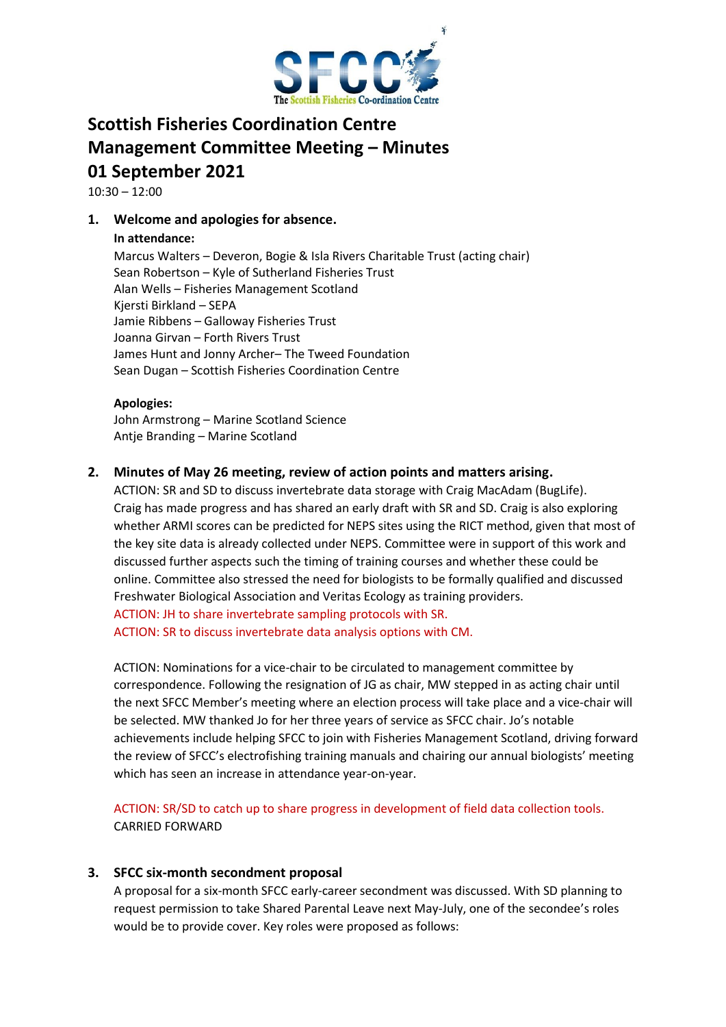

# **Scottish Fisheries Coordination Centre Management Committee Meeting – Minutes 01 September 2021**

10:30 – 12:00

# **1. Welcome and apologies for absence.**

## **In attendance:**

Marcus Walters – Deveron, Bogie & Isla Rivers Charitable Trust (acting chair) Sean Robertson – Kyle of Sutherland Fisheries Trust Alan Wells – Fisheries Management Scotland Kjersti Birkland – SEPA Jamie Ribbens – Galloway Fisheries Trust Joanna Girvan – Forth Rivers Trust James Hunt and Jonny Archer– The Tweed Foundation Sean Dugan – Scottish Fisheries Coordination Centre

## **Apologies:**

John Armstrong – Marine Scotland Science Antje Branding – Marine Scotland

## **2. Minutes of May 26 meeting, review of action points and matters arising.**

ACTION: SR and SD to discuss invertebrate data storage with Craig MacAdam (BugLife). Craig has made progress and has shared an early draft with SR and SD. Craig is also exploring whether ARMI scores can be predicted for NEPS sites using the RICT method, given that most of the key site data is already collected under NEPS. Committee were in support of this work and discussed further aspects such the timing of training courses and whether these could be online. Committee also stressed the need for biologists to be formally qualified and discussed Freshwater Biological Association and Veritas Ecology as training providers. ACTION: JH to share invertebrate sampling protocols with SR.

ACTION: SR to discuss invertebrate data analysis options with CM.

ACTION: Nominations for a vice-chair to be circulated to management committee by correspondence. Following the resignation of JG as chair, MW stepped in as acting chair until the next SFCC Member's meeting where an election process will take place and a vice-chair will be selected. MW thanked Jo for her three years of service as SFCC chair. Jo's notable achievements include helping SFCC to join with Fisheries Management Scotland, driving forward the review of SFCC's electrofishing training manuals and chairing our annual biologists' meeting which has seen an increase in attendance year-on-year.

ACTION: SR/SD to catch up to share progress in development of field data collection tools. CARRIED FORWARD

# **3. SFCC six-month secondment proposal**

A proposal for a six-month SFCC early-career secondment was discussed. With SD planning to request permission to take Shared Parental Leave next May-July, one of the secondee's roles would be to provide cover. Key roles were proposed as follows: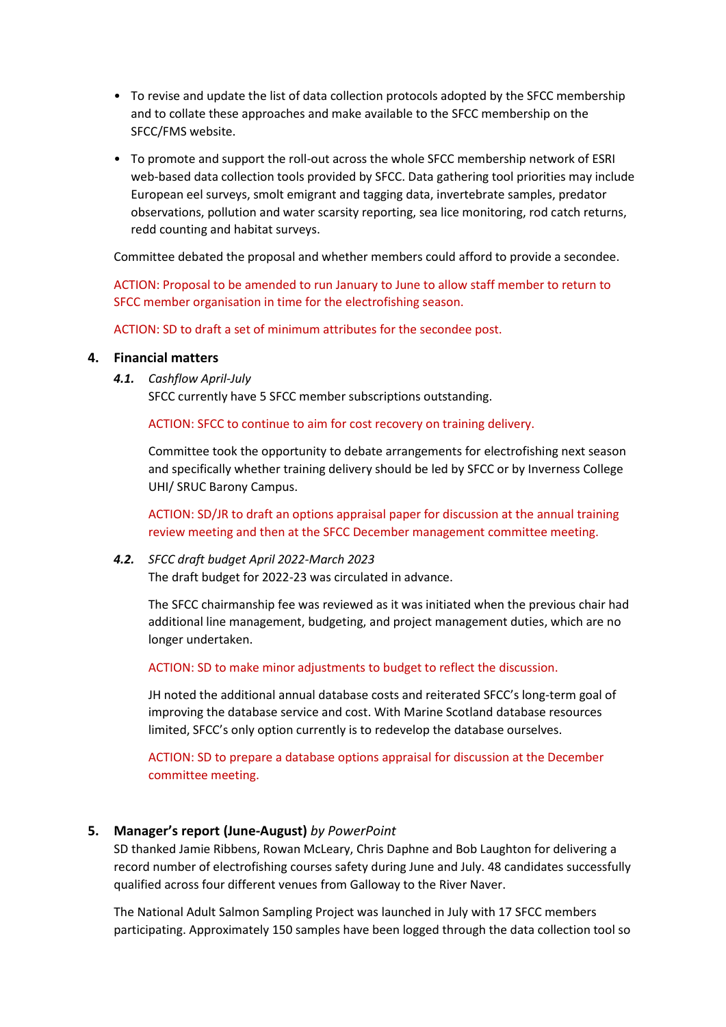- To revise and update the list of data collection protocols adopted by the SFCC membership and to collate these approaches and make available to the SFCC membership on the SFCC/FMS website.
- To promote and support the roll-out across the whole SFCC membership network of ESRI web-based data collection tools provided by SFCC. Data gathering tool priorities may include European eel surveys, smolt emigrant and tagging data, invertebrate samples, predator observations, pollution and water scarsity reporting, sea lice monitoring, rod catch returns, redd counting and habitat surveys.

Committee debated the proposal and whether members could afford to provide a secondee.

ACTION: Proposal to be amended to run January to June to allow staff member to return to SFCC member organisation in time for the electrofishing season.

ACTION: SD to draft a set of minimum attributes for the secondee post.

### **4. Financial matters**

*4.1. Cashflow April-July*

SFCC currently have 5 SFCC member subscriptions outstanding.

ACTION: SFCC to continue to aim for cost recovery on training delivery.

Committee took the opportunity to debate arrangements for electrofishing next season and specifically whether training delivery should be led by SFCC or by Inverness College UHI/ SRUC Barony Campus.

ACTION: SD/JR to draft an options appraisal paper for discussion at the annual training review meeting and then at the SFCC December management committee meeting.

### *4.2. SFCC draft budget April 2022-March 2023*

The draft budget for 2022-23 was circulated in advance.

The SFCC chairmanship fee was reviewed as it was initiated when the previous chair had additional line management, budgeting, and project management duties, which are no longer undertaken.

ACTION: SD to make minor adjustments to budget to reflect the discussion.

JH noted the additional annual database costs and reiterated SFCC's long-term goal of improving the database service and cost. With Marine Scotland database resources limited, SFCC's only option currently is to redevelop the database ourselves.

ACTION: SD to prepare a database options appraisal for discussion at the December committee meeting.

### **5. Manager's report (June-August)** *by PowerPoint*

SD thanked Jamie Ribbens, Rowan McLeary, Chris Daphne and Bob Laughton for delivering a record number of electrofishing courses safety during June and July. 48 candidates successfully qualified across four different venues from Galloway to the River Naver.

The National Adult Salmon Sampling Project was launched in July with 17 SFCC members participating. Approximately 150 samples have been logged through the data collection tool so